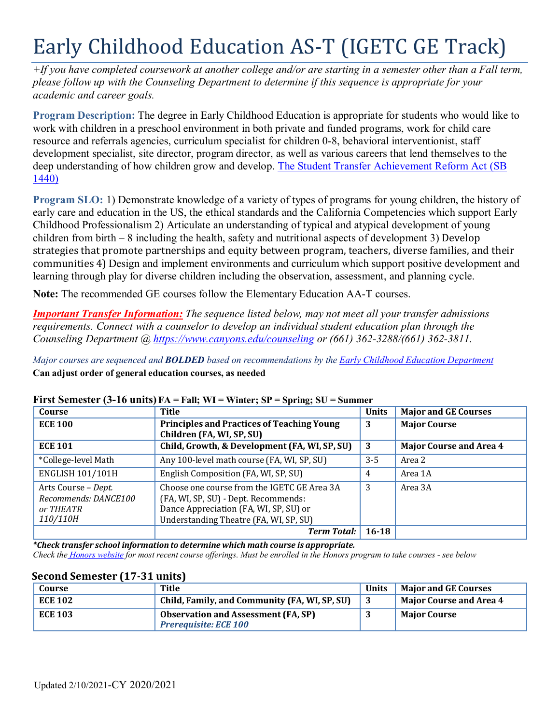# Early Childhood Education AS-T (IGETC GE Track)

*+If you have completed coursework at another college and/or are starting in a semester other than a Fall term, please follow up with the Counseling Department to determine if this sequence is appropriate for your academic and career goals.*

**Program Description:** The degree in Early Childhood Education is appropriate for students who would like to work with children in a preschool environment in both private and funded programs, work for child care resource and referrals agencies, curriculum specialist for children 0-8, behavioral interventionist, staff development specialist, site director, program director, as well as various careers that lend themselves to the deep understanding of how children grow and develop. [The Student Transfer Achievement](https://www2.calstate.edu/apply/transfer/Pages/ccc-associate-degree-for-transfer.aspx) Reform Act (SB [1440\)](https://www2.calstate.edu/apply/transfer/Pages/ccc-associate-degree-for-transfer.aspx)

**Program SLO:** 1) Demonstrate knowledge of a variety of types of programs for young children, the history of early care and education in the US, the ethical standards and the California Competencies which support Early Childhood Professionalism 2) Articulate an understanding of typical and atypical development of young children from birth – 8 including the health, safety and nutritional aspects of development 3) Develop strategies that promote partnerships and equity between program, teachers, diverse families, and their communities 4) Design and implement environments and curriculum which support positive development and learning through play for diverse children including the observation, assessment, and planning cycle.

**Note:** The recommended GE courses follow the Elementary Education AA-T courses.

*Important Transfer Information: The sequence listed below, may not meet all your transfer admissions requirements. Connect with a counselor to develop an individual student education plan through the Counseling Department @ <https://www.canyons.edu/counseling> or (661) 362-3288/(661) 362-3811.*

*Major courses are sequenced and BOLDED based on recommendations by the Early Childhood Education [Department](http://www.canyons.edu/ece)* **Can adjust order of general education courses, as needed**

| Course                                                               | <b>Title</b>                                                                                                                                                            | <b>Units</b> | <b>Major and GE Courses</b>    |
|----------------------------------------------------------------------|-------------------------------------------------------------------------------------------------------------------------------------------------------------------------|--------------|--------------------------------|
| <b>ECE 100</b>                                                       | <b>Principles and Practices of Teaching Young</b>                                                                                                                       | 3            | <b>Major Course</b>            |
|                                                                      | Children (FA, WI, SP, SU)                                                                                                                                               |              |                                |
| <b>ECE 101</b>                                                       | Child, Growth, & Development (FA, WI, SP, SU)                                                                                                                           | 3            | <b>Major Course and Area 4</b> |
| *College-level Math                                                  | Any 100-level math course (FA, WI, SP, SU)                                                                                                                              | $3 - 5$      | Area 2                         |
| <b>ENGLISH 101/101H</b>                                              | English Composition (FA, WI, SP, SU)                                                                                                                                    | 4            | Area 1A                        |
| Arts Course - Dept.<br>Recommends: DANCE100<br>or THEATR<br>110/110H | Choose one course from the IGETC GE Area 3A<br>(FA, WI, SP, SU) - Dept. Recommends:<br>Dance Appreciation (FA, WI, SP, SU) or<br>Understanding Theatre (FA, WI, SP, SU) | 3            | Area 3A                        |
|                                                                      | <b>Term Total:</b>                                                                                                                                                      | $16 - 18$    |                                |

## **First Semester (3-16 units) FA = Fall; WI = Winter; SP = Spring; SU = Summer**

*\*Check transfer school information to determine which math course is appropriate.* Check the Honors [website](https://www.canyons.edu/academics/honors/index.php) for most recent course offerings. Must be enrolled in the Honors program to take courses - see below

| Course         | Title                                                                      | <b>Units</b> | <b>Maior and GE Courses</b> |
|----------------|----------------------------------------------------------------------------|--------------|-----------------------------|
| <b>ECE 102</b> | Child, Family, and Community (FA, WI, SP, SU)                              |              | Major Course and Area 4 N   |
| <b>ECE 103</b> | <b>Observation and Assessment (FA, SP)</b><br><b>Prerequisite: ECE 100</b> |              | <b>Maior Course</b>         |

#### **Second Semester (17-31 units)**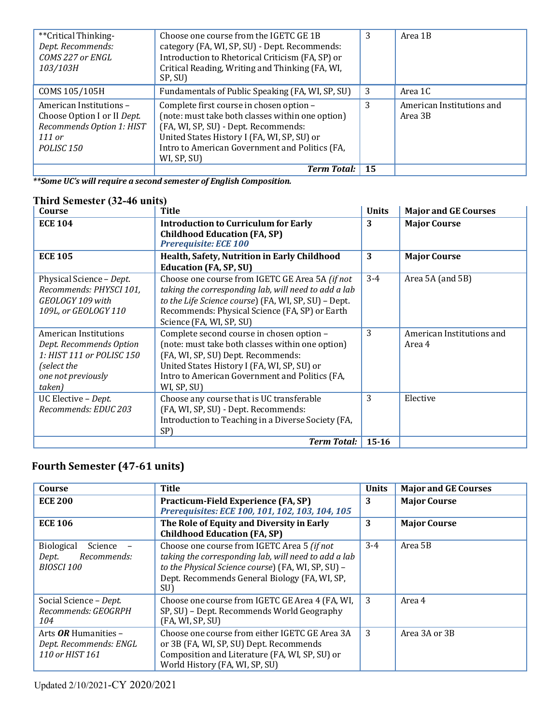| **Critical Thinking-        | Choose one course from the IGETC GE 1B           | 3   | Area 1B                   |
|-----------------------------|--------------------------------------------------|-----|---------------------------|
| Dept. Recommends:           | category (FA, WI, SP, SU) - Dept. Recommends:    |     |                           |
| COMS 227 or ENGL            | Introduction to Rhetorical Criticism (FA, SP) or |     |                           |
| 103/103H                    | Critical Reading, Writing and Thinking (FA, WI,  |     |                           |
|                             | SP, SU)                                          |     |                           |
| COMS 105/105H               | Fundamentals of Public Speaking (FA, WI, SP, SU) | 3   | Area 1C                   |
| American Institutions -     | Complete first course in chosen option -         | 3   | American Institutions and |
| Choose Option I or II Dept. | (note: must take both classes within one option) |     | Area 3B                   |
| Recommends Option 1: HIST   | (FA, WI, SP, SU) - Dept. Recommends:             |     |                           |
| 111 or                      | United States History I (FA, WI, SP, SU) or      |     |                           |
| POLISC <sub>150</sub>       | Intro to American Government and Politics (FA,   |     |                           |
|                             | WI, SP, SU)                                      |     |                           |
|                             | <b>Term Total:</b>                               | -15 |                           |

*\*\*Some UC's will require a second semester of English Composition.*

# **Third Semester (32-46 units)**

| Course                                                                                                                       | Title                                                                                                                                                                                                                                               | <b>Units</b> | <b>Major and GE Courses</b>         |
|------------------------------------------------------------------------------------------------------------------------------|-----------------------------------------------------------------------------------------------------------------------------------------------------------------------------------------------------------------------------------------------------|--------------|-------------------------------------|
| <b>ECE 104</b>                                                                                                               | <b>Introduction to Curriculum for Early</b><br><b>Childhood Education (FA, SP)</b><br>Prerequisite: ECE 100                                                                                                                                         | 3            | <b>Major Course</b>                 |
| <b>ECE 105</b>                                                                                                               | Health, Safety, Nutrition in Early Childhood<br><b>Education (FA, SP, SU)</b>                                                                                                                                                                       | 3            | <b>Major Course</b>                 |
| Physical Science - Dept.<br>Recommends: PHYSCI 101,<br>GEOLOGY 109 with<br>109L, or GEOLOGY 110                              | Choose one course from IGETC GE Area 5A (if not<br>taking the corresponding lab, will need to add a lab<br>to the Life Science course) (FA, WI, SP, SU) - Dept.<br>Recommends: Physical Science (FA, SP) or Earth<br>Science (FA, WI, SP, SU)       | $3 - 4$      | Area 5A (and 5B)                    |
| American Institutions<br>Dept. Recommends Option<br>1: HIST 111 or POLISC 150<br>(select the<br>one not previously<br>taken) | Complete second course in chosen option -<br>(note: must take both classes within one option)<br>(FA, WI, SP, SU) Dept. Recommends:<br>United States History I (FA, WI, SP, SU) or<br>Intro to American Government and Politics (FA,<br>WI, SP, SU) | 3            | American Institutions and<br>Area 4 |
| UC Elective - Dept.<br>Recommends: EDUC 203                                                                                  | Choose any course that is UC transferable<br>(FA, WI, SP, SU) - Dept. Recommends:<br>Introduction to Teaching in a Diverse Society (FA,<br>SP)                                                                                                      | 3            | Elective                            |
|                                                                                                                              | <b>Term Total:</b>                                                                                                                                                                                                                                  | $15 - 16$    |                                     |

# **Fourth Semester (47-61 units)**

| Course                                                                    | Title                                                                                                                                                                                                             | <b>Units</b> | <b>Major and GE Courses</b> |
|---------------------------------------------------------------------------|-------------------------------------------------------------------------------------------------------------------------------------------------------------------------------------------------------------------|--------------|-----------------------------|
| <b>ECE 200</b>                                                            | Practicum-Field Experience (FA, SP)<br>Prerequisites: ECE 100, 101, 102, 103, 104, 105                                                                                                                            | 3            | <b>Major Course</b>         |
| <b>ECE 106</b>                                                            | The Role of Equity and Diversity in Early<br><b>Childhood Education (FA, SP)</b>                                                                                                                                  | 3            | <b>Major Course</b>         |
| <b>Biological</b><br>Science<br>Recommends:<br>Dept.<br><b>BIOSCI 100</b> | Choose one course from IGETC Area 5 (if not<br>taking the corresponding lab, will need to add a lab<br>to the Physical Science course) (FA, WI, SP, SU) -<br>Dept. Recommends General Biology (FA, WI, SP,<br>SU) | $3-4$        | Area 5B                     |
| Social Science - Dept.<br>Recommends: GEOGRPH<br>104                      | Choose one course from IGETC GE Area 4 (FA, WI,<br>SP, SU) - Dept. Recommends World Geography<br>(FA, WI, SP, SU)                                                                                                 | 3            | Area 4                      |
| Arts $OR$ Humanities –<br>Dept. Recommends: ENGL<br>110 or HIST 161       | Choose one course from either IGETC GE Area 3A<br>or 3B (FA, WI, SP, SU) Dept. Recommends<br>Composition and Literature (FA, WI, SP, SU) or<br>World History (FA, WI, SP, SU)                                     | 3            | Area 3A or 3B               |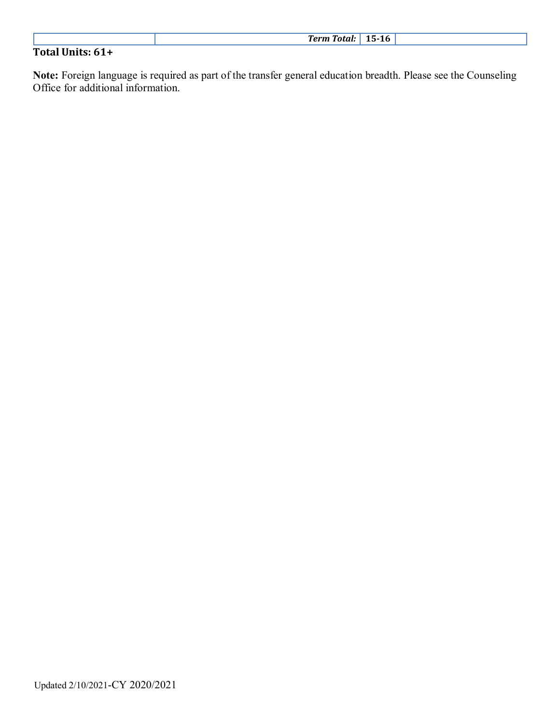|                  | L5-16<br><b>Term Total:</b> |
|------------------|-----------------------------|
| Total Units: 61+ |                             |

**Note:** Foreign language is required as part of the transfer general education breadth. Please see the Counseling Office for additional information.